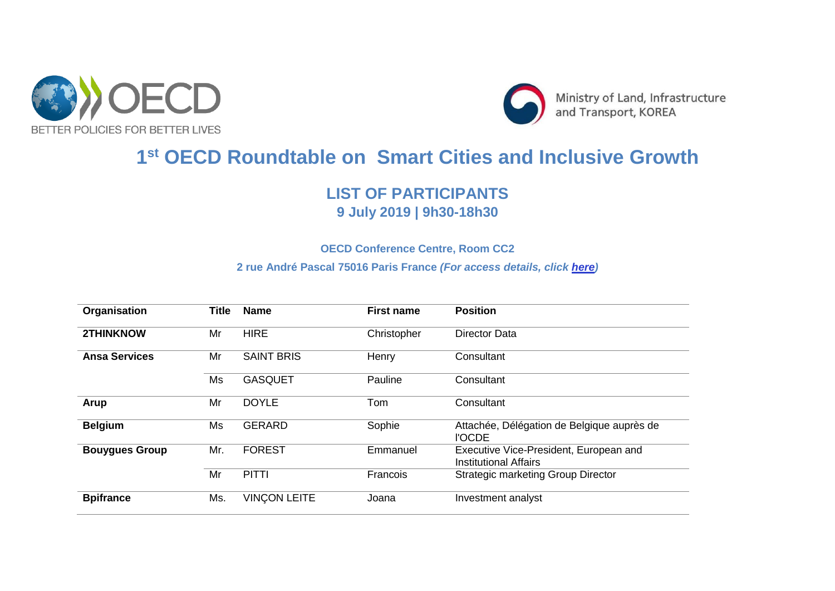



## **1 st OECD Roundtable on Smart Cities and Inclusive Growth**

## **LIST OF PARTICIPANTS 9 July 2019 | 9h30-18h30**

## **OECD Conference Centre, Room CC2**

## **2 rue André Pascal 75016 Paris France** *(For access details, click [here\)](https://www.oecd.org/conference-centre/access/)*

| Organisation          | <b>Title</b> | <b>Name</b>         | <b>First name</b> | <b>Position</b>                                                 |
|-----------------------|--------------|---------------------|-------------------|-----------------------------------------------------------------|
| <b>2THINKNOW</b>      | Mr           | <b>HIRE</b>         | Christopher       | Director Data                                                   |
| <b>Ansa Services</b>  | Mr           | <b>SAINT BRIS</b>   | Henry             | Consultant                                                      |
|                       | Ms           | <b>GASQUET</b>      | Pauline           | Consultant                                                      |
| <b>Arup</b>           | Mr           | <b>DOYLE</b>        | Tom               | Consultant                                                      |
| <b>Belgium</b>        | Ms           | <b>GERARD</b>       | Sophie            | Attachée, Délégation de Belgique auprès de<br><b>I'OCDE</b>     |
| <b>Bouygues Group</b> | Mr.          | <b>FOREST</b>       | Emmanuel          | Executive Vice-President, European and<br>Institutional Affairs |
|                       | Mr           | <b>PITTI</b>        | Francois          | <b>Strategic marketing Group Director</b>                       |
| <b>Bpifrance</b>      | Ms.          | <b>VINCON LEITE</b> | Joana             | Investment analyst                                              |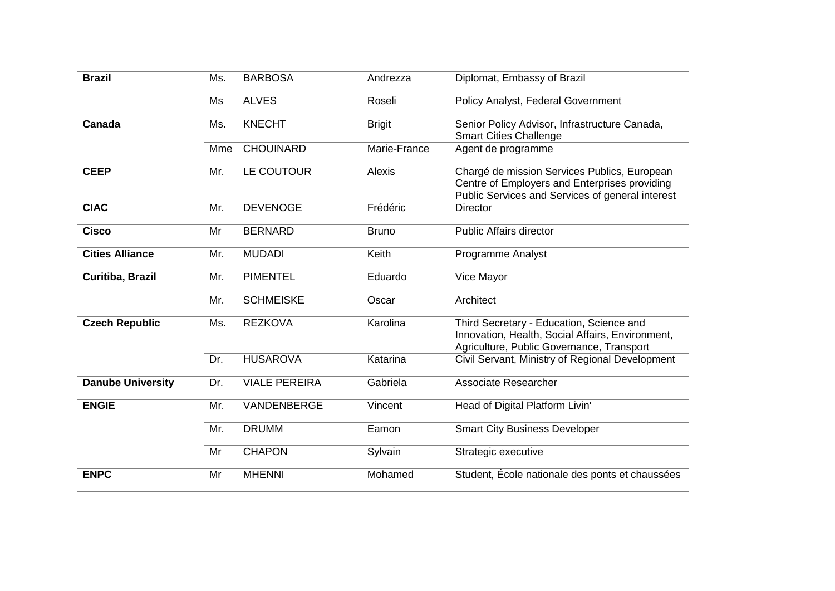| <b>Brazil</b>            | Ms. | <b>BARBOSA</b>       | Andrezza      | Diplomat, Embassy of Brazil                                                                                                                       |
|--------------------------|-----|----------------------|---------------|---------------------------------------------------------------------------------------------------------------------------------------------------|
|                          | Ms  | <b>ALVES</b>         | Roseli        | Policy Analyst, Federal Government                                                                                                                |
| Canada                   | Ms. | <b>KNECHT</b>        | <b>Brigit</b> | Senior Policy Advisor, Infrastructure Canada,<br><b>Smart Cities Challenge</b>                                                                    |
|                          | Mme | <b>CHOUINARD</b>     | Marie-France  | Agent de programme                                                                                                                                |
| <b>CEEP</b>              | Mr. | LE COUTOUR           | Alexis        | Chargé de mission Services Publics, European<br>Centre of Employers and Enterprises providing<br>Public Services and Services of general interest |
| <b>CIAC</b>              | Mr. | <b>DEVENOGE</b>      | Frédéric      | <b>Director</b>                                                                                                                                   |
| <b>Cisco</b>             | Mr  | <b>BERNARD</b>       | <b>Bruno</b>  | <b>Public Affairs director</b>                                                                                                                    |
| <b>Cities Alliance</b>   | Mr. | <b>MUDADI</b>        | Keith         | Programme Analyst                                                                                                                                 |
| Curitiba, Brazil         | Mr. | <b>PIMENTEL</b>      | Eduardo       | Vice Mayor                                                                                                                                        |
|                          | Mr. | <b>SCHMEISKE</b>     | Oscar         | Architect                                                                                                                                         |
| <b>Czech Republic</b>    | Ms. | <b>REZKOVA</b>       | Karolina      | Third Secretary - Education, Science and<br>Innovation, Health, Social Affairs, Environment,<br>Agriculture, Public Governance, Transport         |
|                          | Dr. | <b>HUSAROVA</b>      | Katarina      | Civil Servant, Ministry of Regional Development                                                                                                   |
| <b>Danube University</b> | Dr. | <b>VIALE PEREIRA</b> | Gabriela      | Associate Researcher                                                                                                                              |
| <b>ENGIE</b>             | Mr. | VANDENBERGE          | Vincent       | Head of Digital Platform Livin'                                                                                                                   |
|                          | Mr. | <b>DRUMM</b>         | Eamon         | <b>Smart City Business Developer</b>                                                                                                              |
|                          | Mr  | <b>CHAPON</b>        | Sylvain       | Strategic executive                                                                                                                               |
| <b>ENPC</b>              | Mr  | <b>MHENNI</b>        | Mohamed       | Student, École nationale des ponts et chaussées                                                                                                   |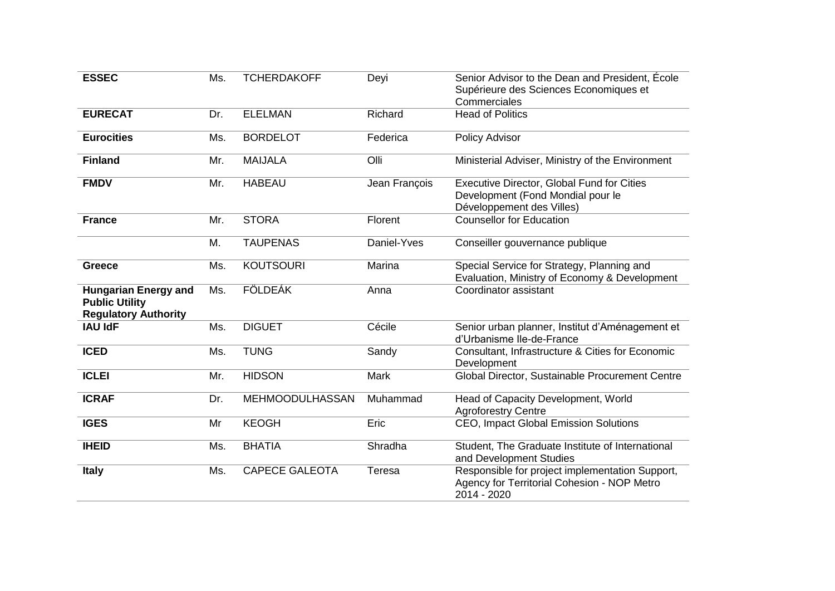| <b>ESSEC</b>                                                                        | Ms. | <b>TCHERDAKOFF</b>     | Deyi          | Senior Advisor to the Dean and President, École<br>Supérieure des Sciences Economiques et<br>Commerciales     |
|-------------------------------------------------------------------------------------|-----|------------------------|---------------|---------------------------------------------------------------------------------------------------------------|
| <b>EURECAT</b>                                                                      | Dr. | <b>ELELMAN</b>         | Richard       | <b>Head of Politics</b>                                                                                       |
| <b>Eurocities</b>                                                                   | Ms. | <b>BORDELOT</b>        | Federica      | Policy Advisor                                                                                                |
| <b>Finland</b>                                                                      | Mr. | <b>MAIJALA</b>         | Olli          | Ministerial Adviser, Ministry of the Environment                                                              |
| <b>FMDV</b>                                                                         | Mr. | <b>HABEAU</b>          | Jean François | Executive Director, Global Fund for Cities<br>Development (Fond Mondial pour le<br>Développement des Villes)  |
| <b>France</b>                                                                       | Mr. | <b>STORA</b>           | Florent       | <b>Counsellor for Education</b>                                                                               |
|                                                                                     | M.  | <b>TAUPENAS</b>        | Daniel-Yves   | Conseiller gouvernance publique                                                                               |
| <b>Greece</b>                                                                       | Ms. | <b>KOUTSOURI</b>       | Marina        | Special Service for Strategy, Planning and<br>Evaluation, Ministry of Economy & Development                   |
| <b>Hungarian Energy and</b><br><b>Public Utility</b><br><b>Regulatory Authority</b> | Ms. | <b>FÖLDEÁK</b>         | Anna          | Coordinator assistant                                                                                         |
| <b>IAU IdF</b>                                                                      | Ms. | <b>DIGUET</b>          | Cécile        | Senior urban planner, Institut d'Aménagement et<br>d'Urbanisme Ile-de-France                                  |
| <b>ICED</b>                                                                         | Ms. | <b>TUNG</b>            | Sandy         | Consultant, Infrastructure & Cities for Economic<br>Development                                               |
| <b>ICLEI</b>                                                                        | Mr. | <b>HIDSON</b>          | Mark          | Global Director, Sustainable Procurement Centre                                                               |
| <b>ICRAF</b>                                                                        | Dr. | <b>MEHMOODULHASSAN</b> | Muhammad      | Head of Capacity Development, World<br><b>Agroforestry Centre</b>                                             |
| <b>IGES</b>                                                                         | Mr  | <b>KEOGH</b>           | Eric          | CEO, Impact Global Emission Solutions                                                                         |
| <b>IHEID</b>                                                                        | Ms. | <b>BHATIA</b>          | Shradha       | Student, The Graduate Institute of International<br>and Development Studies                                   |
| <b>Italy</b>                                                                        | Ms. | <b>CAPECE GALEOTA</b>  | Teresa        | Responsible for project implementation Support,<br>Agency for Territorial Cohesion - NOP Metro<br>2014 - 2020 |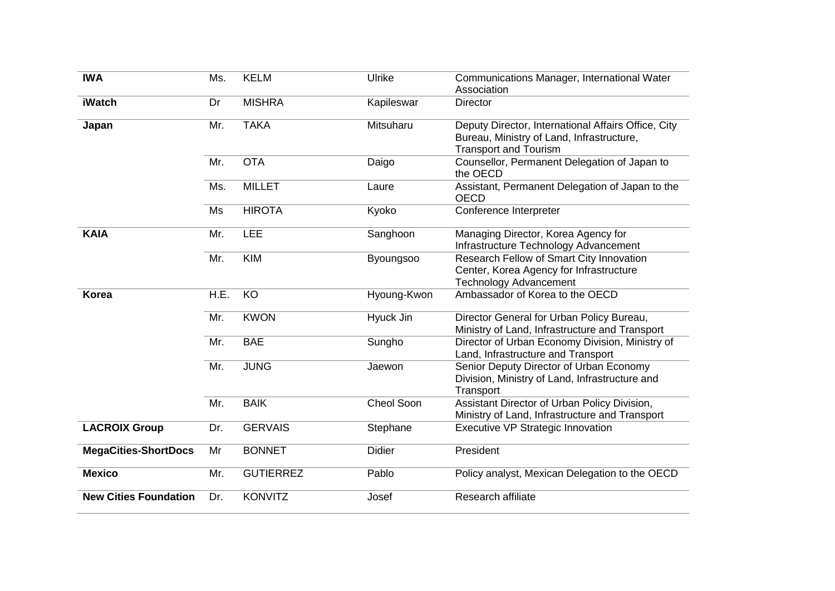| <b>IWA</b>                   | Ms.  | <b>KELM</b>      | Ulrike           | Communications Manager, International Water<br>Association                                                                       |
|------------------------------|------|------------------|------------------|----------------------------------------------------------------------------------------------------------------------------------|
| <b>iWatch</b>                | Dr   | <b>MISHRA</b>    | Kapileswar       | Director                                                                                                                         |
| Japan                        | Mr.  | <b>TAKA</b>      | Mitsuharu        | Deputy Director, International Affairs Office, City<br>Bureau, Ministry of Land, Infrastructure,<br><b>Transport and Tourism</b> |
|                              | Mr.  | <b>OTA</b>       | Daigo            | Counsellor, Permanent Delegation of Japan to<br>the OECD                                                                         |
|                              | Ms.  | <b>MILLET</b>    | Laure            | Assistant, Permanent Delegation of Japan to the<br><b>OECD</b>                                                                   |
|                              | Ms   | <b>HIROTA</b>    | Kyoko            | Conference Interpreter                                                                                                           |
| <b>KAIA</b>                  | Mr.  | LEE              | Sanghoon         | Managing Director, Korea Agency for<br>Infrastructure Technology Advancement                                                     |
|                              | Mr.  | <b>KIM</b>       | <b>Byoungsoo</b> | Research Fellow of Smart City Innovation<br>Center, Korea Agency for Infrastructure<br><b>Technology Advancement</b>             |
| <b>Korea</b>                 | H.E. | KO               | Hyoung-Kwon      | Ambassador of Korea to the OECD                                                                                                  |
|                              | Mr.  | <b>KWON</b>      | Hyuck Jin        | Director General for Urban Policy Bureau,<br>Ministry of Land, Infrastructure and Transport                                      |
|                              | Mr.  | <b>BAE</b>       | Sungho           | Director of Urban Economy Division, Ministry of<br>Land, Infrastructure and Transport                                            |
|                              | Mr.  | <b>JUNG</b>      | Jaewon           | Senior Deputy Director of Urban Economy<br>Division, Ministry of Land, Infrastructure and<br>Transport                           |
|                              | Mr.  | <b>BAIK</b>      | Cheol Soon       | Assistant Director of Urban Policy Division,<br>Ministry of Land, Infrastructure and Transport                                   |
| <b>LACROIX Group</b>         | Dr.  | <b>GERVAIS</b>   | Stephane         | Executive VP Strategic Innovation                                                                                                |
| <b>MegaCities-ShortDocs</b>  | Mr   | <b>BONNET</b>    | <b>Didier</b>    | President                                                                                                                        |
| <b>Mexico</b>                | Mr.  | <b>GUTIERREZ</b> | Pablo            | Policy analyst, Mexican Delegation to the OECD                                                                                   |
| <b>New Cities Foundation</b> | Dr.  | <b>KONVITZ</b>   | Josef            | Research affiliate                                                                                                               |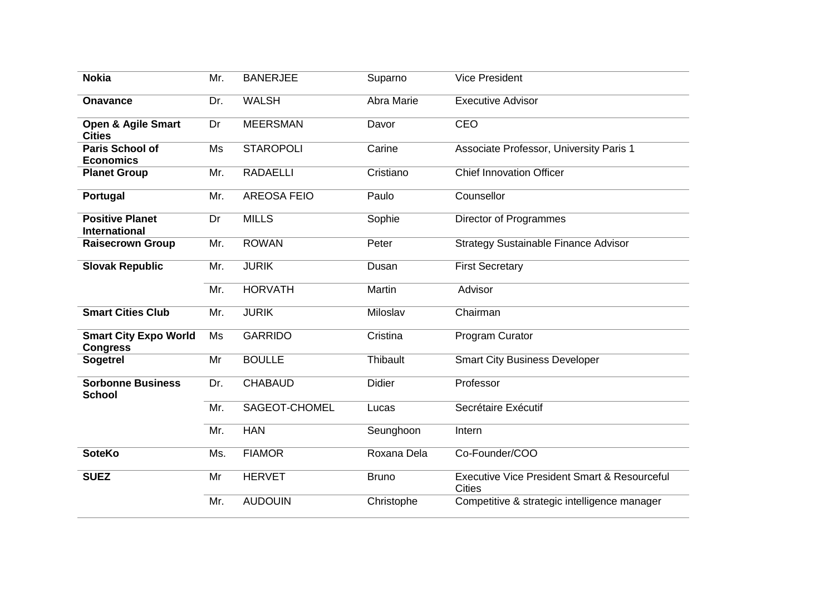| <b>Nokia</b>                                    | Mr. | <b>BANERJEE</b>    | Suparno       | <b>Vice President</b>                                                    |
|-------------------------------------------------|-----|--------------------|---------------|--------------------------------------------------------------------------|
| <b>Onavance</b>                                 | Dr. | <b>WALSH</b>       | Abra Marie    | <b>Executive Advisor</b>                                                 |
| <b>Open &amp; Agile Smart</b><br><b>Cities</b>  | Dr  | <b>MEERSMAN</b>    | Davor         | CEO                                                                      |
| <b>Paris School of</b><br><b>Economics</b>      | Ms  | <b>STAROPOLI</b>   | Carine        | Associate Professor, University Paris 1                                  |
| <b>Planet Group</b>                             | Mr. | <b>RADAELLI</b>    | Cristiano     | <b>Chief Innovation Officer</b>                                          |
| Portugal                                        | Mr. | <b>AREOSA FEIO</b> | Paulo         | Counsellor                                                               |
| <b>Positive Planet</b><br><b>International</b>  | Dr  | <b>MILLS</b>       | Sophie        | Director of Programmes                                                   |
| <b>Raisecrown Group</b>                         | Mr. | <b>ROWAN</b>       | Peter         | <b>Strategy Sustainable Finance Advisor</b>                              |
| <b>Slovak Republic</b>                          | Mr. | <b>JURIK</b>       | Dusan         | <b>First Secretary</b>                                                   |
|                                                 | Mr. | <b>HORVATH</b>     | Martin        | Advisor                                                                  |
| <b>Smart Cities Club</b>                        | Mr. | <b>JURIK</b>       | Miloslav      | Chairman                                                                 |
| <b>Smart City Expo World</b><br><b>Congress</b> | Ms  | <b>GARRIDO</b>     | Cristina      | Program Curator                                                          |
| <b>Sogetrel</b>                                 | Mr  | <b>BOULLE</b>      | Thibault      | <b>Smart City Business Developer</b>                                     |
| <b>Sorbonne Business</b><br><b>School</b>       | Dr. | <b>CHABAUD</b>     | <b>Didier</b> | Professor                                                                |
|                                                 | Mr. | SAGEOT-CHOMEL      | Lucas         | Secrétaire Exécutif                                                      |
|                                                 | Mr. | <b>HAN</b>         | Seunghoon     | Intern                                                                   |
| <b>SoteKo</b>                                   | Ms. | <b>FIAMOR</b>      | Roxana Dela   | Co-Founder/COO                                                           |
| <b>SUEZ</b>                                     | Mr  | <b>HERVET</b>      | <b>Bruno</b>  | <b>Executive Vice President Smart &amp; Resourceful</b><br><b>Cities</b> |
|                                                 | Mr. | <b>AUDOUIN</b>     | Christophe    | Competitive & strategic intelligence manager                             |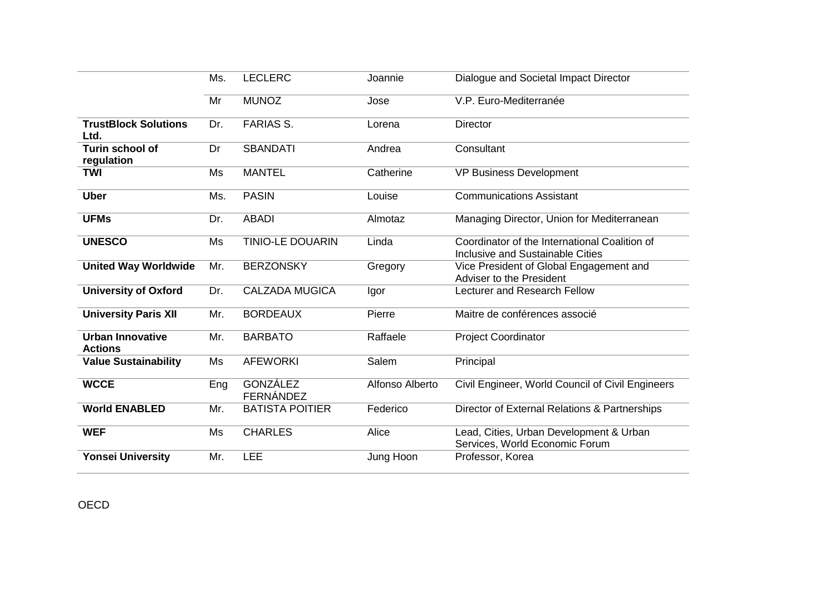|                                           | Ms. | <b>LECLERC</b>                      | Joannie         | Dialogue and Societal Impact Director                                             |
|-------------------------------------------|-----|-------------------------------------|-----------------|-----------------------------------------------------------------------------------|
|                                           | Mr  | <b>MUNOZ</b>                        | Jose            | V.P. Euro-Mediterranée                                                            |
| <b>TrustBlock Solutions</b><br>Ltd.       | Dr. | <b>FARIAS S.</b>                    | Lorena          | <b>Director</b>                                                                   |
| Turin school of<br>regulation             | Dr  | <b>SBANDATI</b>                     | Andrea          | Consultant                                                                        |
| <b>TWI</b>                                | Ms  | <b>MANTEL</b>                       | Catherine       | <b>VP Business Development</b>                                                    |
| <b>Uber</b>                               | Ms. | <b>PASIN</b>                        | Louise          | <b>Communications Assistant</b>                                                   |
| <b>UFMs</b>                               | Dr. | <b>ABADI</b>                        | Almotaz         | Managing Director, Union for Mediterranean                                        |
| <b>UNESCO</b>                             | Ms  | <b>TINIO-LE DOUARIN</b>             | Linda           | Coordinator of the International Coalition of<br>Inclusive and Sustainable Cities |
| <b>United Way Worldwide</b>               | Mr. | <b>BERZONSKY</b>                    | Gregory         | Vice President of Global Engagement and<br>Adviser to the President               |
| <b>University of Oxford</b>               | Dr. | <b>CALZADA MUGICA</b>               | Igor            | Lecturer and Research Fellow                                                      |
| <b>University Paris XII</b>               | Mr. | <b>BORDEAUX</b>                     | Pierre          | Maitre de conférences associé                                                     |
| <b>Urban Innovative</b><br><b>Actions</b> | Mr. | <b>BARBATO</b>                      | Raffaele        | Project Coordinator                                                               |
| <b>Value Sustainability</b>               | Ms  | <b>AFEWORKI</b>                     | Salem           | Principal                                                                         |
| <b>WCCE</b>                               | Eng | <b>GONZÁLEZ</b><br><b>FERNÁNDEZ</b> | Alfonso Alberto | Civil Engineer, World Council of Civil Engineers                                  |
| <b>World ENABLED</b>                      | Mr. | <b>BATISTA POITIER</b>              | Federico        | Director of External Relations & Partnerships                                     |
| <b>WEF</b>                                | Ms  | <b>CHARLES</b>                      | Alice           | Lead, Cities, Urban Development & Urban<br>Services, World Economic Forum         |
| <b>Yonsei University</b>                  | Mr. | <b>LEE</b>                          | Jung Hoon       | Professor, Korea                                                                  |

OECD